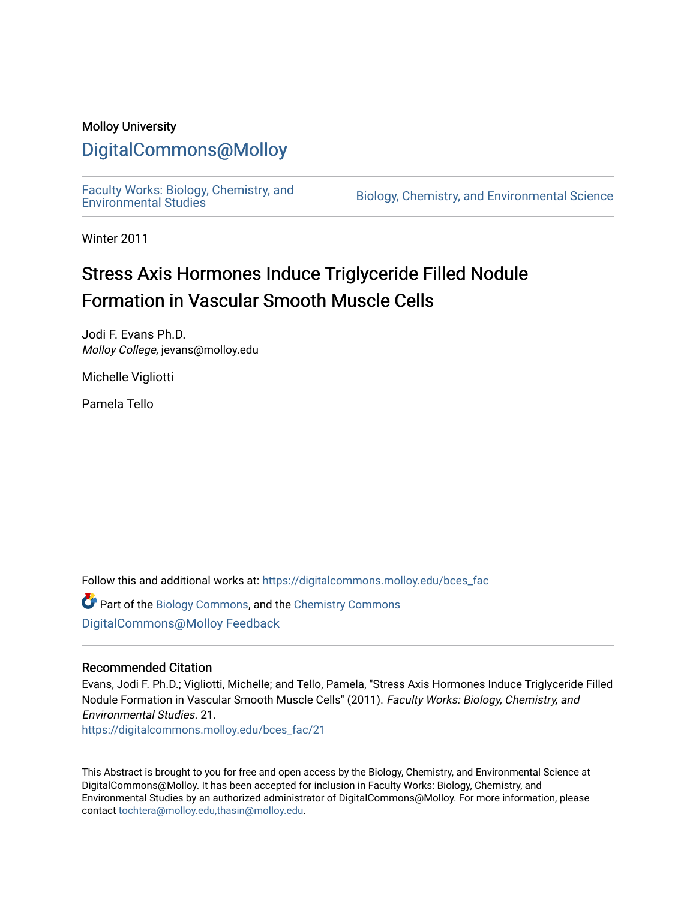#### Molloy University

### [DigitalCommons@Molloy](https://digitalcommons.molloy.edu/)

[Faculty Works: Biology, Chemistry, and](https://digitalcommons.molloy.edu/bces_fac) 

Biology, Chemistry, and Environmental Science

Winter 2011

# Stress Axis Hormones Induce Triglyceride Filled Nodule Formation in Vascular Smooth Muscle Cells

Jodi F. Evans Ph.D. Molloy College, jevans@molloy.edu

Michelle Vigliotti

Pamela Tello

Follow this and additional works at: [https://digitalcommons.molloy.edu/bces\\_fac](https://digitalcommons.molloy.edu/bces_fac?utm_source=digitalcommons.molloy.edu%2Fbces_fac%2F21&utm_medium=PDF&utm_campaign=PDFCoverPages)

Part of the [Biology Commons,](https://network.bepress.com/hgg/discipline/41?utm_source=digitalcommons.molloy.edu%2Fbces_fac%2F21&utm_medium=PDF&utm_campaign=PDFCoverPages) and the [Chemistry Commons](https://network.bepress.com/hgg/discipline/131?utm_source=digitalcommons.molloy.edu%2Fbces_fac%2F21&utm_medium=PDF&utm_campaign=PDFCoverPages) [DigitalCommons@Molloy Feedback](https://molloy.libwizard.com/f/dcfeedback)

#### Recommended Citation

Evans, Jodi F. Ph.D.; Vigliotti, Michelle; and Tello, Pamela, "Stress Axis Hormones Induce Triglyceride Filled Nodule Formation in Vascular Smooth Muscle Cells" (2011). Faculty Works: Biology, Chemistry, and Environmental Studies. 21.

[https://digitalcommons.molloy.edu/bces\\_fac/21](https://digitalcommons.molloy.edu/bces_fac/21?utm_source=digitalcommons.molloy.edu%2Fbces_fac%2F21&utm_medium=PDF&utm_campaign=PDFCoverPages) 

This Abstract is brought to you for free and open access by the Biology, Chemistry, and Environmental Science at DigitalCommons@Molloy. It has been accepted for inclusion in Faculty Works: Biology, Chemistry, and Environmental Studies by an authorized administrator of DigitalCommons@Molloy. For more information, please contact [tochtera@molloy.edu,thasin@molloy.edu.](mailto:tochtera@molloy.edu,thasin@molloy.edu)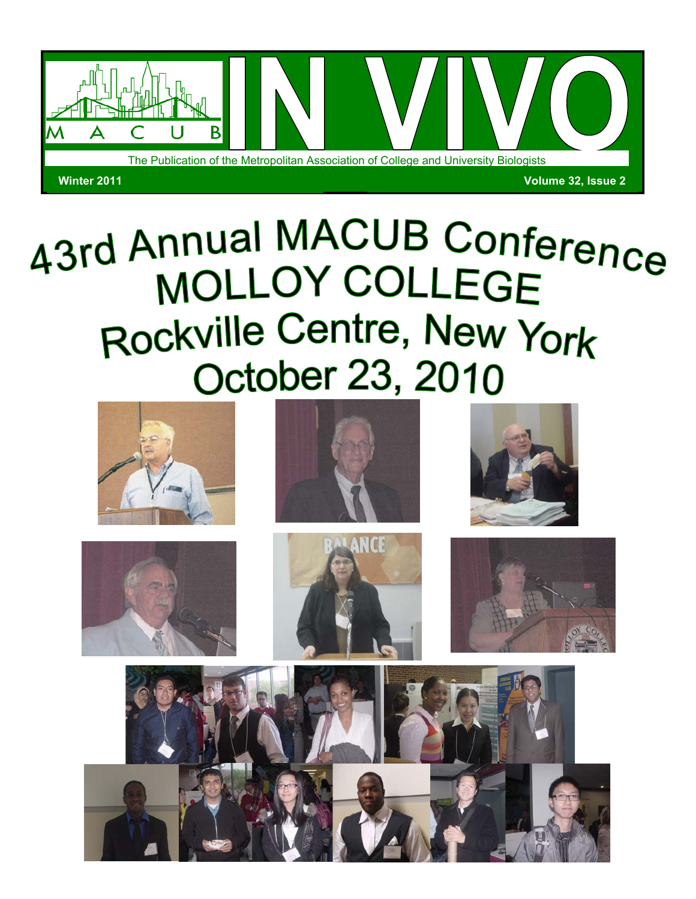

# 43rd Annual MACUB Conference **MOLLOY COLLEGE** Rockville Centre, New York **October 23, 2010**













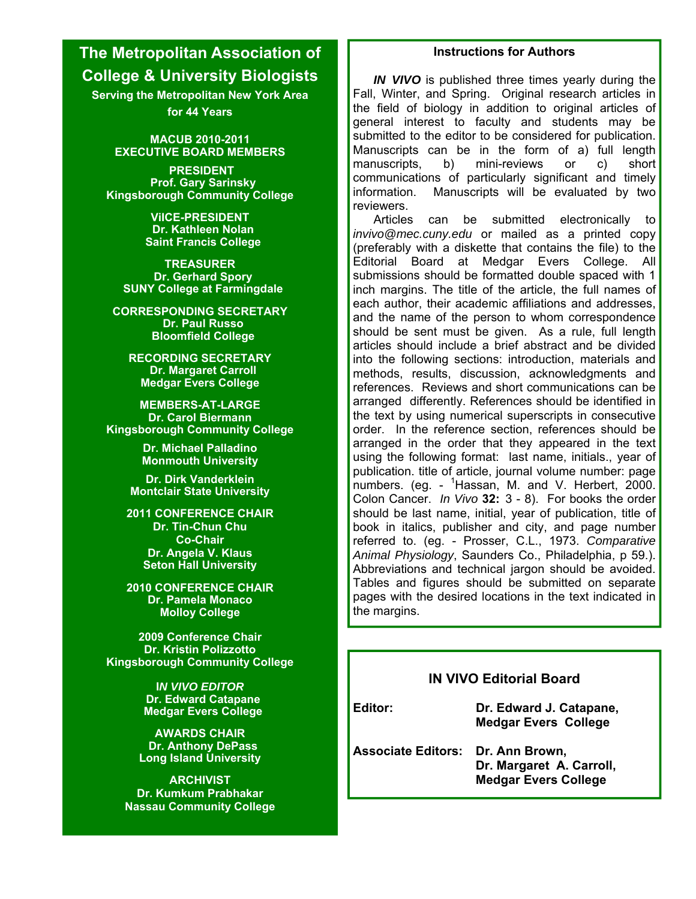## **The Metropolitan Association of College & University Biologists**

**Serving the Metropolitan New York Area for 44 Years** 

> **MACUB 2010-2011 EXECUTIVE BOARD MEMBERS**

 **PRESIDENT Prof. Gary Sarinsky Kingsborough Community College** 

> **ViICE-PRESIDENT Dr. Kathleen Nolan Saint Francis College**

**TREASURER Dr. Gerhard Spory SUNY College at Farmingdale** 

**CORRESPONDING SECRETARY Dr. Paul Russo Bloomfield College** 

**RECORDING SECRETARY Dr. Margaret Carroll Medgar Evers College** 

**MEMBERS-AT-LARGE Dr. Carol Biermann Kingsborough Community College**

> **Dr. Michael Palladino Monmouth University**

**Dr. Dirk Vanderklein Montclair State University** 

**2011 CONFERENCE CHAIR Dr. Tin-Chun Chu Co-Chair Dr. Angela V. Klaus Seton Hall University** 

**2010 CONFERENCE CHAIR Dr. Pamela Monaco Molloy College** 

**2009 Conference Chair Dr. Kristin Polizzotto Kingsborough Community College**

> **I***N VIVO EDITOR*  **Dr. Edward Catapane Medgar Evers College**

**AWARDS CHAIR Dr. Anthony DePass Long Island University** 

**ARCHIVIST Dr. Kumkum Prabhakar Nassau Community College**

#### **Instructions for Authors**

*IN VIVO* is published three times yearly during the Fall, Winter, and Spring. Original research articles in the field of biology in addition to original articles of general interest to faculty and students may be submitted to the editor to be considered for publication. Manuscripts can be in the form of a) full length manuscripts, b) mini-reviews or c) short communications of particularly significant and timely information. Manuscripts will be evaluated by two reviewers.

 Articles can be submitted electronically to *invivo@mec.cuny.edu* or mailed as a printed copy (preferably with a diskette that contains the file) to the Editorial Board at Medgar Evers College. All submissions should be formatted double spaced with 1 inch margins. The title of the article, the full names of each author, their academic affiliations and addresses, and the name of the person to whom correspondence should be sent must be given. As a rule, full length articles should include a brief abstract and be divided into the following sections: introduction, materials and methods, results, discussion, acknowledgments and references. Reviews and short communications can be arranged differently. References should be identified in the text by using numerical superscripts in consecutive order. In the reference section, references should be arranged in the order that they appeared in the text using the following format: last name, initials., year of publication. title of article, journal volume number: page numbers. (eg. - <sup>1</sup>Hassan, M. and V. Herbert, 2000. Colon Cancer. *In Vivo* **32:** 3 - 8). For books the order should be last name, initial, year of publication, title of book in italics, publisher and city, and page number referred to. (eg. - Prosser, C.L., 1973. *Comparative Animal Physiology*, Saunders Co., Philadelphia, p 59.). Abbreviations and technical jargon should be avoided. Tables and figures should be submitted on separate pages with the desired locations in the text indicated in the margins.

#### **IN VIVO Editorial Board**

**Editor: Dr. Edward J. Catapane, Medgar Evers College** 

**Associate Editors: Dr. Ann Brown, Dr. Margaret A. Carroll, Medgar Evers College**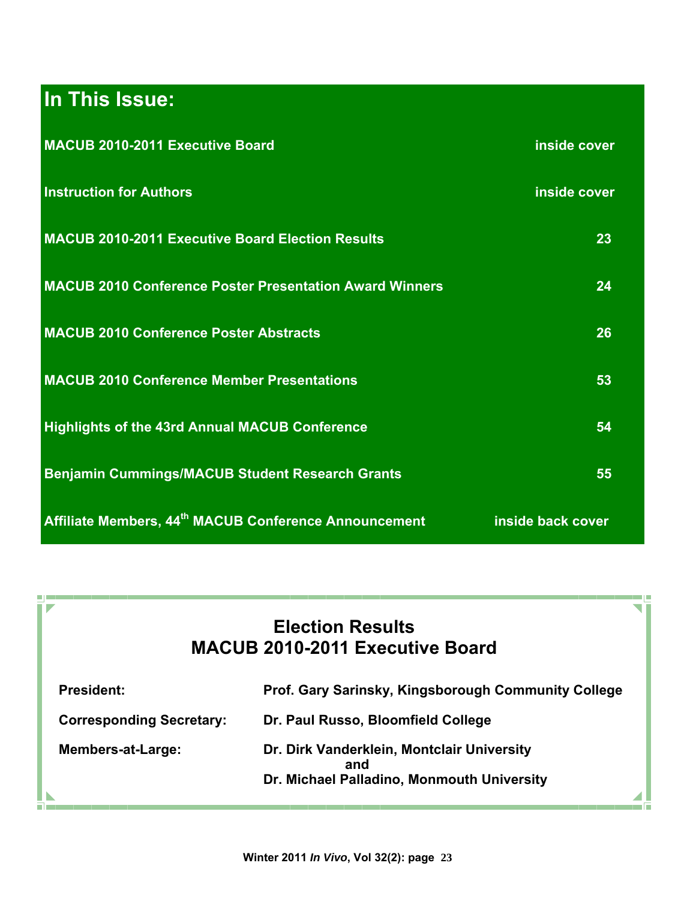# **In This Issue:**

<u>oj</u> e Г  $\overline{\phantom{a}}$ 

n.

| MACUB 2010-2011 Executive Board                                   | inside cover      |
|-------------------------------------------------------------------|-------------------|
| <b>Instruction for Authors</b>                                    | inside cover      |
| <b>MACUB 2010-2011 Executive Board Election Results</b>           | 23                |
| <b>MACUB 2010 Conference Poster Presentation Award Winners</b>    | 24                |
| <b>MACUB 2010 Conference Poster Abstracts</b>                     | 26                |
| <b>MACUB 2010 Conference Member Presentations</b>                 | 53                |
| <b>Highlights of the 43rd Annual MACUB Conference</b>             | 54                |
| <b>Benjamin Cummings/MACUB Student Research Grants</b>            | 55                |
| Affiliate Members, 44 <sup>th</sup> MACUB Conference Announcement | inside back cover |

## **Election Results MACUB 2010-2011 Executive Board**

| <b>President:</b>               | Prof. Gary Sarinsky, Kingsborough Community College |
|---------------------------------|-----------------------------------------------------|
| <b>Corresponding Secretary:</b> | Dr. Paul Russo, Bloomfield College                  |
| <b>Members-at-Large:</b>        | Dr. Dirk Vanderklein, Montclair University<br>and   |
|                                 | Dr. Michael Palladino, Monmouth University          |